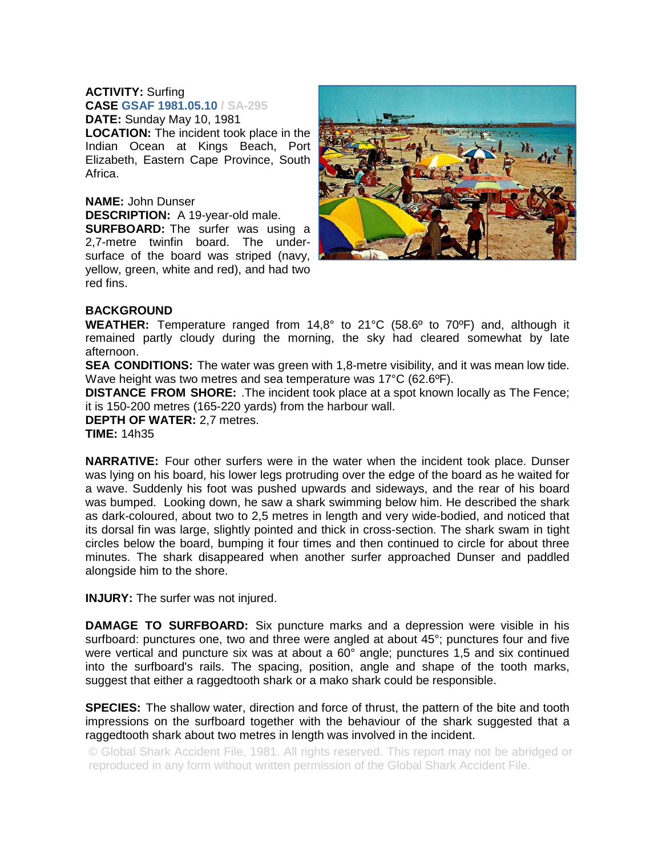## **ACTIVITY:** Surfing **CASE GSAF 1981.05.10 / SA-295**

**DATE:** Sunday May 10, 1981 **LOCATION:** The incident took place in the Indian Ocean at Kings Beach, Port Elizabeth, Eastern Cape Province, South Africa.

## **NAME:** John Dunser **DESCRIPTION:** A 19-year-old male.

**SURFBOARD:** The surfer was using a 2,7-metre twinfin board. The undersurface of the board was striped (navy, yellow, green, white and red), and had two red fins.



## **BACKGROUND**

**WEATHER:** Temperature ranged from 14,8° to 21°C (58.6º to 70ºF) and, although it remained partly cloudy during the morning, the sky had cleared somewhat by late afternoon.

**SEA CONDITIONS:** The water was green with 1,8-metre visibility, and it was mean low tide. Wave height was two metres and sea temperature was 17°C (62.6ºF).

**DISTANCE FROM SHORE:** .The incident took place at a spot known locally as The Fence; it is 150-200 metres (165-220 yards) from the harbour wall.

**DEPTH OF WATER:** 2,7 metres.

**TIME:** 14h35

**NARRATIVE:** Four other surfers were in the water when the incident took place. Dunser was lying on his board, his lower legs protruding over the edge of the board as he waited for a wave. Suddenly his foot was pushed upwards and sideways, and the rear of his board was bumped. Looking down, he saw a shark swimming below him. He described the shark as dark-coloured, about two to 2,5 metres in length and very wide-bodied, and noticed that its dorsal fin was large, slightly pointed and thick in cross-section. The shark swam in tight circles below the board, bumping it four times and then continued to circle for about three minutes. The shark disappeared when another surfer approached Dunser and paddled alongside him to the shore.

**INJURY:** The surfer was not injured.

**DAMAGE TO SURFBOARD:** Six puncture marks and a depression were visible in his surfboard: punctures one, two and three were angled at about 45°; punctures four and five were vertical and puncture six was at about a 60° angle; punctures 1,5 and six continued into the surfboard's rails. The spacing, position, angle and shape of the tooth marks, suggest that either a raggedtooth shark or a mako shark could be responsible.

**SPECIES:** The shallow water, direction and force of thrust, the pattern of the bite and tooth impressions on the surfboard together with the behaviour of the shark suggested that a raggedtooth shark about two metres in length was involved in the incident.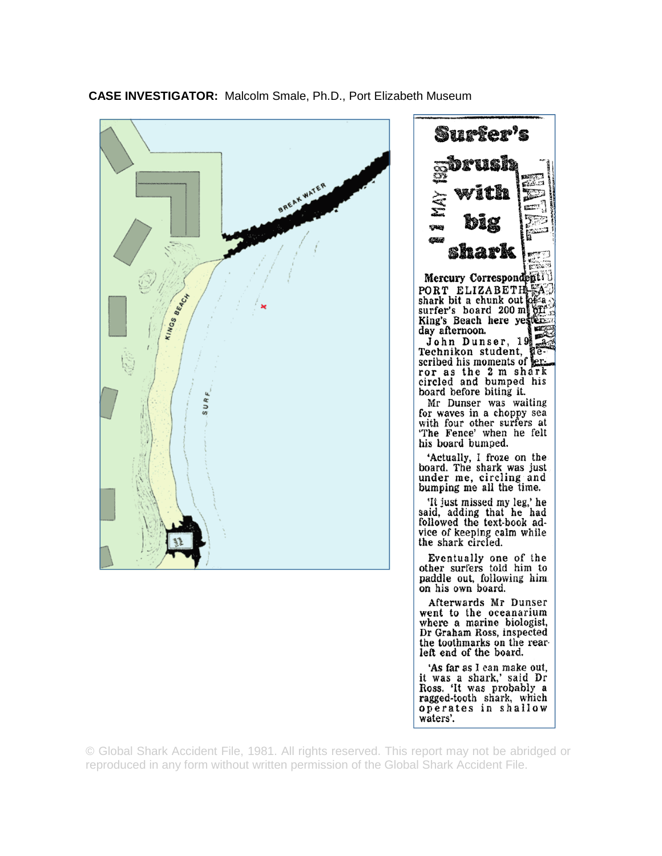

**CASE INVESTIGATOR:** Malcolm Smale, Ph.D., Port Elizabeth Museum



waters'.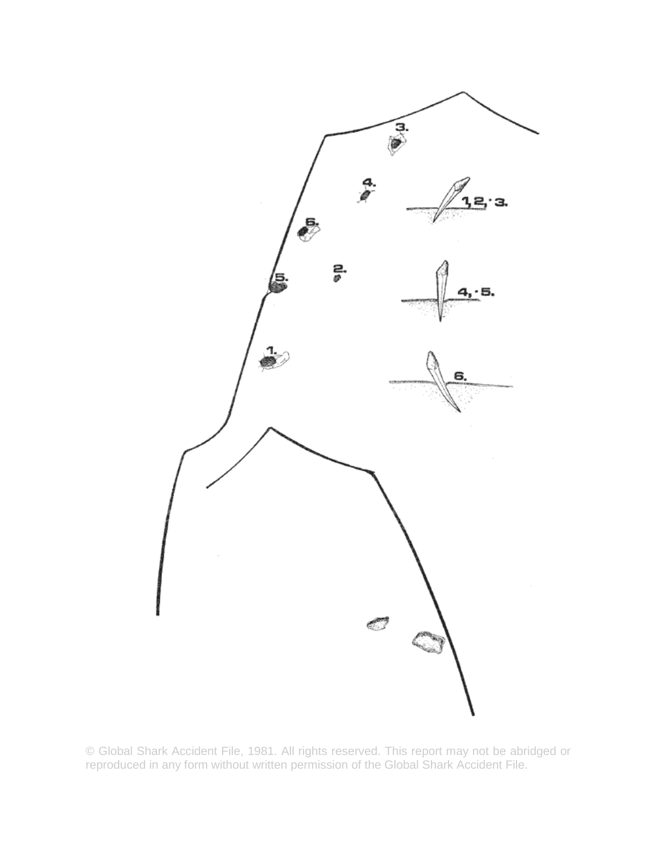